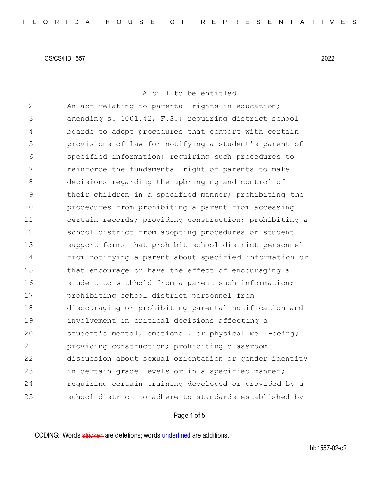| $\mathbf{1}$ | A bill to be entitled                                  |
|--------------|--------------------------------------------------------|
| $\mathbf{2}$ | An act relating to parental rights in education;       |
| 3            | amending s. 1001.42, F.S.; requiring district school   |
| 4            | boards to adopt procedures that comport with certain   |
| 5            | provisions of law for notifying a student's parent of  |
| 6            | specified information; requiring such procedures to    |
| 7            | reinforce the fundamental right of parents to make     |
| 8            | decisions regarding the upbringing and control of      |
| 9            | their children in a specified manner; prohibiting the  |
| 10           | procedures from prohibiting a parent from accessing    |
| 11           | certain records; providing construction; prohibiting a |
| 12           | school district from adopting procedures or student    |
| 13           | support forms that prohibit school district personnel  |
| 14           | from notifying a parent about specified information or |
| 15           | that encourage or have the effect of encouraging a     |
| 16           | student to withhold from a parent such information;    |
| 17           | prohibiting school district personnel from             |
| 18           | discouraging or prohibiting parental notification and  |
| 19           | involvement in critical decisions affecting a          |
| 20           | student's mental, emotional, or physical well-being;   |
| 21           | providing construction; prohibiting classroom          |
| 22           | discussion about sexual orientation or gender identity |
| 23           | in certain grade levels or in a specified manner;      |
| 24           | requiring certain training developed or provided by a  |
| 25           | school district to adhere to standards established by  |
|              |                                                        |

# Page 1 of 5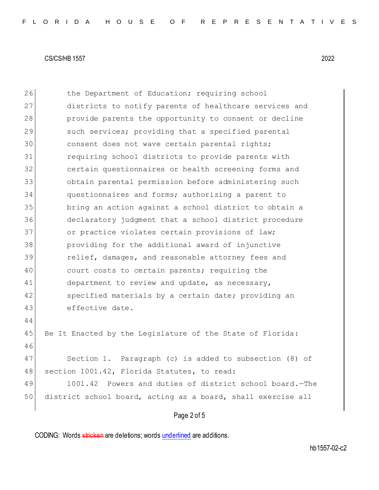26 the Department of Education; requiring school 27 districts to notify parents of healthcare services and 28 provide parents the opportunity to consent or decline 29 such services; providing that a specified parental 30 consent does not wave certain parental rights; 31 requiring school districts to provide parents with 32 certain questionnaires or health screening forms and 33 obtain parental permission before administering such 34 questionnaires and forms; authorizing a parent to 35 bring an action against a school district to obtain a 36 declaratory judgment that a school district procedure 37 or practice violates certain provisions of law; 38 providing for the additional award of injunctive 39 **relief, damages, and reasonable attorney fees and** 40 court costs to certain parents; requiring the 41 department to review and update, as necessary, 42 specified materials by a certain date; providing an 43 effective date. 44 45 Be It Enacted by the Legislature of the State of Florida: 46 47 Section 1. Paragraph (c) is added to subsection (8) of 48 section 1001.42, Florida Statutes, to read: 49 1001.42 Powers and duties of district school board. - The 50 district school board, acting as a board, shall exercise all

### Page 2 of 5

CODING: Words stricken are deletions; words underlined are additions.

hb1557-02-c2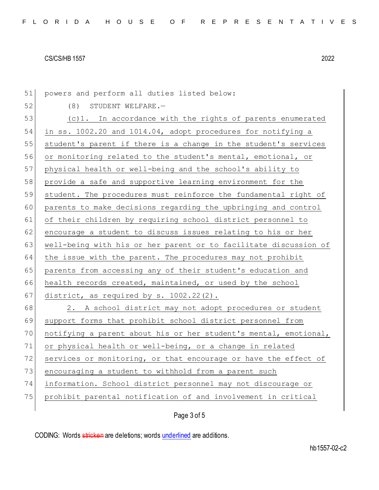51 powers and perform all duties listed below: 52 (8) STUDENT WELFARE. 53 (c)1. In accordance with the rights of parents enumerated 54 in ss. 1002.20 and 1014.04, adopt procedures for notifying a 55 student's parent if there is a change in the student's services 56 or monitoring related to the student's mental, emotional, or 57 physical health or well-being and the school's ability to 58 provide a safe and supportive learning environment for the 59 student. The procedures must reinforce the fundamental right of 60 parents to make decisions regarding the upbringing and control 61 of their children by requiring school district personnel to 62 encourage a student to discuss issues relating to his or her 63 well-being with his or her parent or to facilitate discussion of 64 the issue with the parent. The procedures may not prohibit 65 parents from accessing any of their student's education and 66 health records created, maintained, or used by the school 67 district, as required by s.  $1002.22(2)$ . 68 2. A school district may not adopt procedures or student 69 support forms that prohibit school district personnel from 70 notifying a parent about his or her student's mental, emotional, 71 or physical health or well-being, or a change in related  $72$  services or monitoring, or that encourage or have the effect of 73 encouraging a student to withhold from a parent such 74 information. School district personnel may not discourage or 75 prohibit parental notification of and involvement in critical

## Page 3 of 5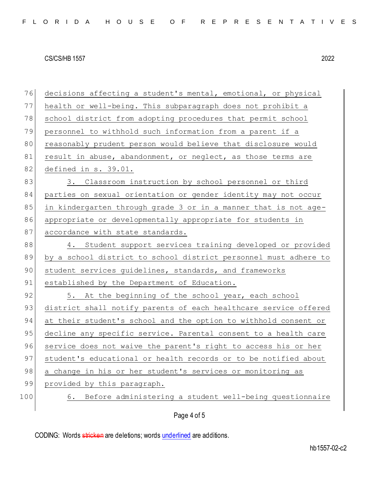76 decisions affecting a student's mental, emotional, or physical 77 health or well-being. This subparagraph does not prohibit a 78 school district from adopting procedures that permit school 79 personnel to withhold such information from a parent if a 80 reasonably prudent person would believe that disclosure would 81 result in abuse, abandonment, or neglect, as those terms are 82 defined in s. 39.01. 83 3. Classroom instruction by school personnel or third 84 parties on sexual orientation or gender identity may not occur 85 in kindergarten through grade 3 or in a manner that is not age-86 appropriate or developmentally appropriate for students in 87 accordance with state standards. 88 4. Student support services training developed or provided 89 by a school district to school district personnel must adhere to 90 student services guidelines, standards, and frameworks 91 established by the Department of Education. 92 5. At the beginning of the school year, each school 93 district shall notify parents of each healthcare service offered 94 at their student's school and the option to withhold consent or 95 decline any specific service. Parental consent to a health care 96 service does not waive the parent's right to access his or her 97 student's educational or health records or to be notified about 98 a change in his or her student's services or monitoring as 99 provided by this paragraph. 100 6. Before administering a student well-being questionnaire

Page 4 of 5